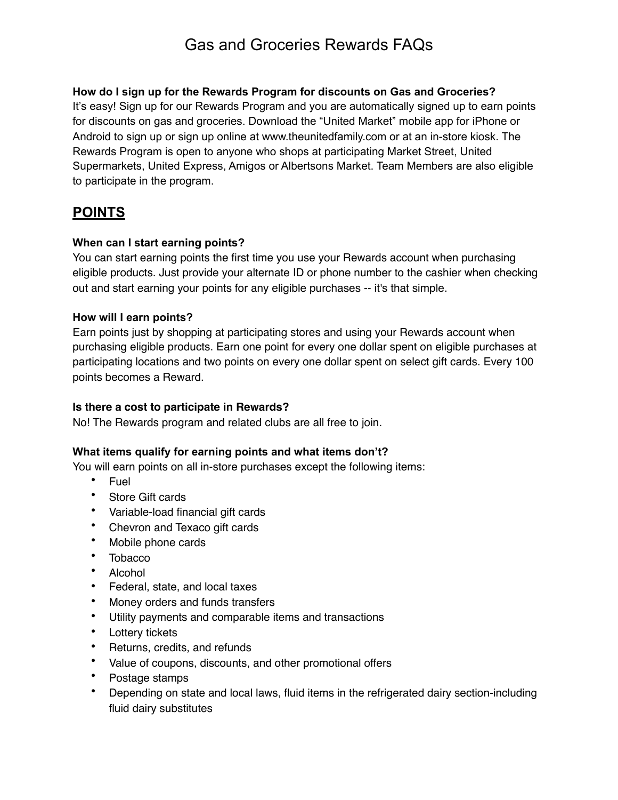### **How do I sign up for the Rewards Program for discounts on Gas and Groceries?**

It's easy! Sign up for our Rewards Program and you are automatically signed up to earn points for discounts on gas and groceries. Download the "United Market" mobile app for iPhone or Android to sign up or sign up online at www.theunitedfamily.com or at an in-store kiosk. The Rewards Program is open to anyone who shops at participating Market Street, United Supermarkets, United Express, Amigos or Albertsons Market. Team Members are also eligible to participate in the program.

## **POINTS**

### **When can I start earning points?**

You can start earning points the first time you use your Rewards account when purchasing eligible products. Just provide your alternate ID or phone number to the cashier when checking out and start earning your points for any eligible purchases -- it's that simple.

### **How will I earn points?**

Earn points just by shopping at participating stores and using your Rewards account when purchasing eligible products. Earn one point for every one dollar spent on eligible purchases at participating locations and two points on every one dollar spent on select gift cards. Every 100 points becomes a Reward.

### **Is there a cost to participate in Rewards?**

No! The Rewards program and related clubs are all free to join.

### **What items qualify for earning points and what items don't?**

You will earn points on all in-store purchases except the following items:

- Fuel
- Store Gift cards
- Variable-load financial gift cards
- Chevron and Texaco gift cards
- Mobile phone cards
- Tobacco
- Alcohol
- Federal, state, and local taxes
- Money orders and funds transfers
- Utility payments and comparable items and transactions
- Lottery tickets
- Returns, credits, and refunds
- Value of coupons, discounts, and other promotional offers
- Postage stamps
- Depending on state and local laws, fluid items in the refrigerated dairy section-including fluid dairy substitutes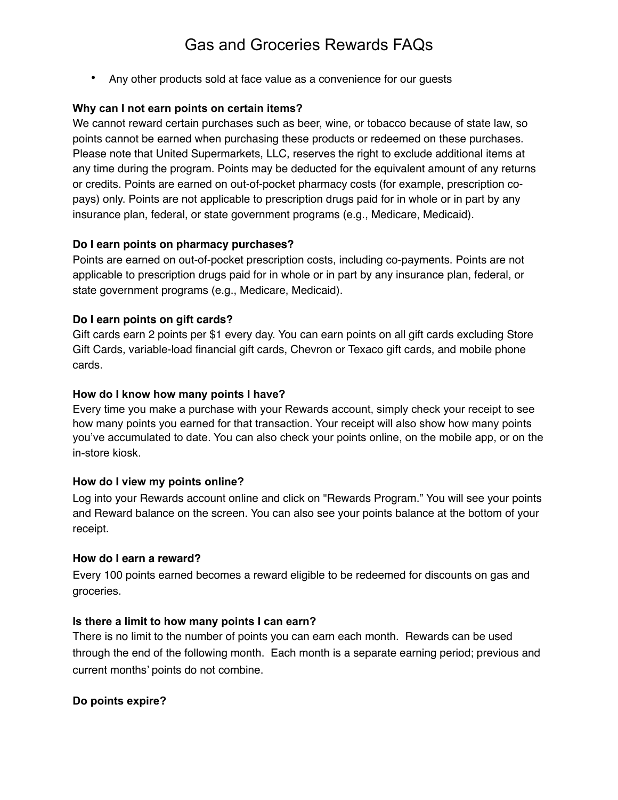• Any other products sold at face value as a convenience for our guests

### **Why can I not earn points on certain items?**

We cannot reward certain purchases such as beer, wine, or tobacco because of state law, so points cannot be earned when purchasing these products or redeemed on these purchases. Please note that United Supermarkets, LLC, reserves the right to exclude additional items at any time during the program. Points may be deducted for the equivalent amount of any returns or credits. Points are earned on out-of-pocket pharmacy costs (for example, prescription copays) only. Points are not applicable to prescription drugs paid for in whole or in part by any insurance plan, federal, or state government programs (e.g., Medicare, Medicaid).

#### **Do I earn points on pharmacy purchases?**

Points are earned on out-of-pocket prescription costs, including co-payments. Points are not applicable to prescription drugs paid for in whole or in part by any insurance plan, federal, or state government programs (e.g., Medicare, Medicaid).

#### **Do I earn points on gift cards?**

Gift cards earn 2 points per \$1 every day. You can earn points on all gift cards excluding Store Gift Cards, variable-load financial gift cards, Chevron or Texaco gift cards, and mobile phone cards.

#### **How do I know how many points I have?**

Every time you make a purchase with your Rewards account, simply check your receipt to see how many points you earned for that transaction. Your receipt will also show how many points you've accumulated to date. You can also check your points online, on the mobile app, or on the in-store kiosk.

#### **How do I view my points online?**

Log into your Rewards account online and click on "Rewards Program." You will see your points and Reward balance on the screen. You can also see your points balance at the bottom of your receipt.

#### **How do I earn a reward?**

Every 100 points earned becomes a reward eligible to be redeemed for discounts on gas and groceries.

#### **Is there a limit to how many points I can earn?**

There is no limit to the number of points you can earn each month. Rewards can be used through the end of the following month. Each month is a separate earning period; previous and current months' points do not combine.

#### **Do points expire?**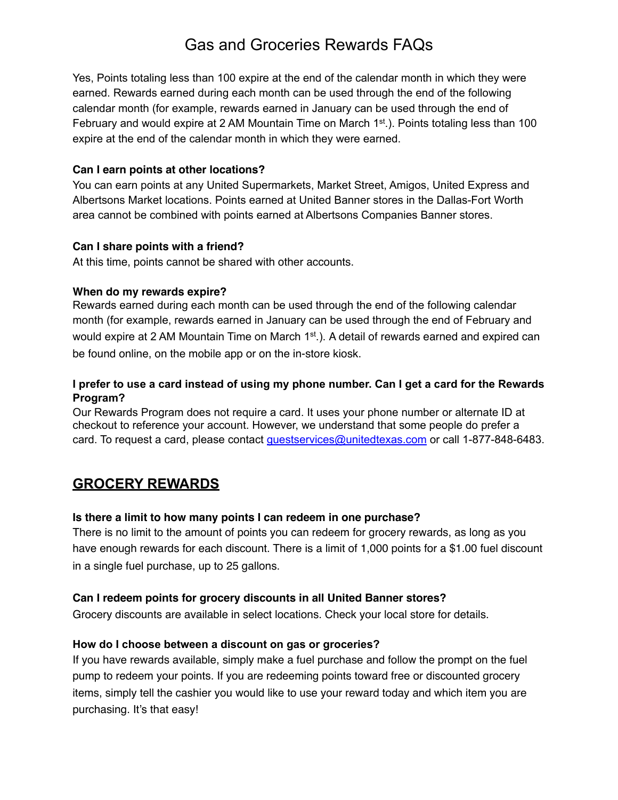Yes, Points totaling less than 100 expire at the end of the calendar month in which they were earned. Rewards earned during each month can be used through the end of the following calendar month (for example, rewards earned in January can be used through the end of February and would expire at 2 AM Mountain Time on March  $1^{st}$ .). Points totaling less than 100 expire at the end of the calendar month in which they were earned.

### **Can I earn points at other locations?**

You can earn points at any United Supermarkets, Market Street, Amigos, United Express and Albertsons Market locations. Points earned at United Banner stores in the Dallas-Fort Worth area cannot be combined with points earned at Albertsons Companies Banner stores.

### **Can I share points with a friend?**

At this time, points cannot be shared with other accounts.

### **When do my rewards expire?**

Rewards earned during each month can be used through the end of the following calendar month (for example, rewards earned in January can be used through the end of February and would expire at 2 AM Mountain Time on March 1<sup>st</sup>.). A detail of rewards earned and expired can be found online, on the mobile app or on the in-store kiosk.

### **I prefer to use a card instead of using my phone number. Can I get a card for the Rewards Program?**

Our Rewards Program does not require a card. It uses your phone number or alternate ID at checkout to reference your account. However, we understand that some people do prefer a card. To request a card, please contact [guestservices@unitedtexas.com](mailto:guestservices@unitedtexas.com) or call 1-877-848-6483.

## **GROCERY REWARDS**

### **Is there a limit to how many points I can redeem in one purchase?**

There is no limit to the amount of points you can redeem for grocery rewards, as long as you have enough rewards for each discount. There is a limit of 1,000 points for a \$1.00 fuel discount in a single fuel purchase, up to 25 gallons.

### **Can I redeem points for grocery discounts in all United Banner stores?**

Grocery discounts are available in select locations. Check your local store for details.

### **How do I choose between a discount on gas or groceries?**

If you have rewards available, simply make a fuel purchase and follow the prompt on the fuel pump to redeem your points. If you are redeeming points toward free or discounted grocery items, simply tell the cashier you would like to use your reward today and which item you are purchasing. It's that easy!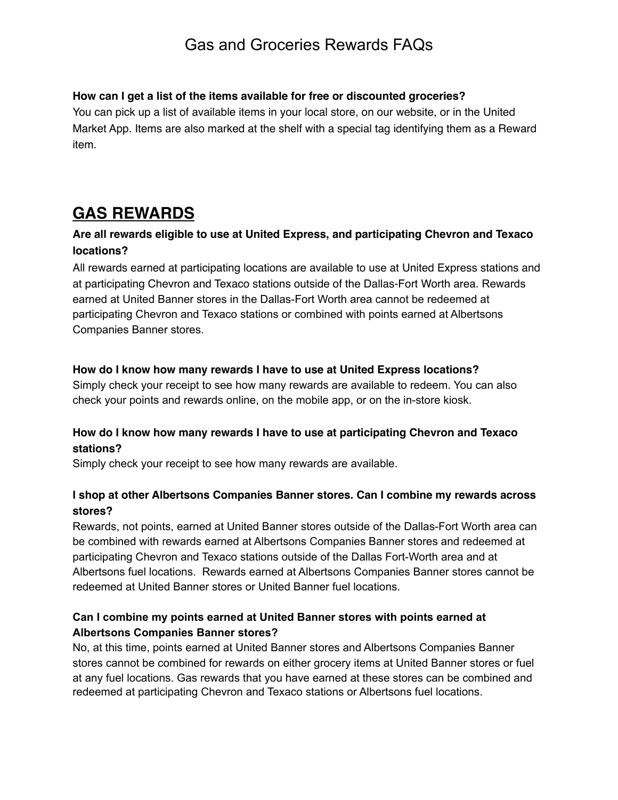### **How can I get a list of the items available for free or discounted groceries?**

You can pick up a list of available items in your local store, on our website, or in the United Market App. Items are also marked at the shelf with a special tag identifying them as a Reward item.

# **GAS REWARDS**

### **Are all rewards eligible to use at United Express, and participating Chevron and Texaco locations?**

All rewards earned at participating locations are available to use at United Express stations and at participating Chevron and Texaco stations outside of the Dallas-Fort Worth area. Rewards earned at United Banner stores in the Dallas-Fort Worth area cannot be redeemed at participating Chevron and Texaco stations or combined with points earned at Albertsons Companies Banner stores.

### **How do I know how many rewards I have to use at United Express locations?**

Simply check your receipt to see how many rewards are available to redeem. You can also check your points and rewards online, on the mobile app, or on the in-store kiosk.

### **How do I know how many rewards I have to use at participating Chevron and Texaco stations?**

Simply check your receipt to see how many rewards are available.

### **I shop at other Albertsons Companies Banner stores. Can I combine my rewards across stores?**

Rewards, not points, earned at United Banner stores outside of the Dallas-Fort Worth area can be combined with rewards earned at Albertsons Companies Banner stores and redeemed at participating Chevron and Texaco stations outside of the Dallas Fort-Worth area and at Albertsons fuel locations. Rewards earned at Albertsons Companies Banner stores cannot be redeemed at United Banner stores or United Banner fuel locations.

### **Can I combine my points earned at United Banner stores with points earned at Albertsons Companies Banner stores?**

No, at this time, points earned at United Banner stores and Albertsons Companies Banner stores cannot be combined for rewards on either grocery items at United Banner stores or fuel at any fuel locations. Gas rewards that you have earned at these stores can be combined and redeemed at participating Chevron and Texaco stations or Albertsons fuel locations.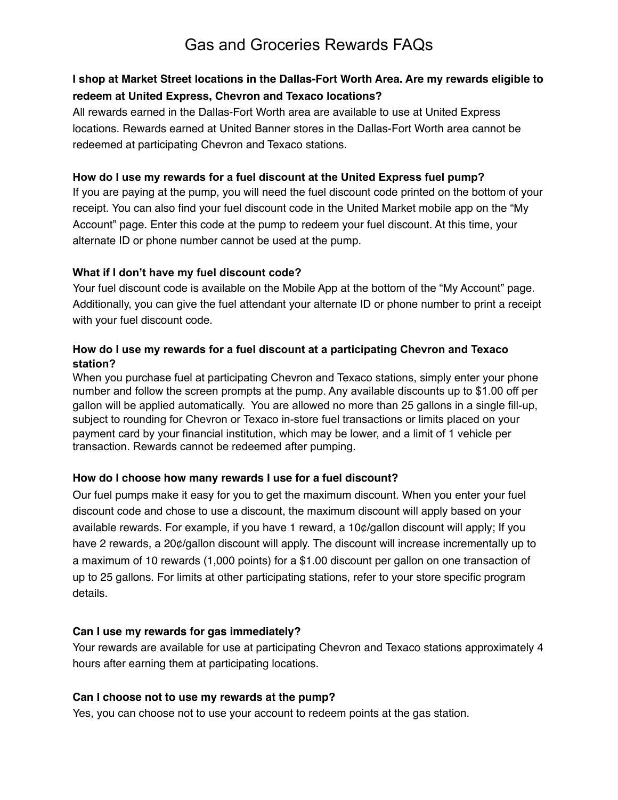## **I shop at Market Street locations in the Dallas-Fort Worth Area. Are my rewards eligible to redeem at United Express, Chevron and Texaco locations?**

All rewards earned in the Dallas-Fort Worth area are available to use at United Express locations. Rewards earned at United Banner stores in the Dallas-Fort Worth area cannot be redeemed at participating Chevron and Texaco stations.

### **How do I use my rewards for a fuel discount at the United Express fuel pump?**

If you are paying at the pump, you will need the fuel discount code printed on the bottom of your receipt. You can also find your fuel discount code in the United Market mobile app on the "My Account" page. Enter this code at the pump to redeem your fuel discount. At this time, your alternate ID or phone number cannot be used at the pump.

### **What if I don't have my fuel discount code?**

Your fuel discount code is available on the Mobile App at the bottom of the "My Account" page. Additionally, you can give the fuel attendant your alternate ID or phone number to print a receipt with your fuel discount code.

### **How do I use my rewards for a fuel discount at a participating Chevron and Texaco station?**

When you purchase fuel at participating Chevron and Texaco stations, simply enter your phone number and follow the screen prompts at the pump. Any available discounts up to \$1.00 off per gallon will be applied automatically. You are allowed no more than 25 gallons in a single fill-up, subject to rounding for Chevron or Texaco in-store fuel transactions or limits placed on your payment card by your financial institution, which may be lower, and a limit of 1 vehicle per transaction. Rewards cannot be redeemed after pumping.

### **How do I choose how many rewards I use for a fuel discount?**

Our fuel pumps make it easy for you to get the maximum discount. When you enter your fuel discount code and chose to use a discount, the maximum discount will apply based on your available rewards. For example, if you have 1 reward, a 10¢/gallon discount will apply; If you have 2 rewards, a 20¢/gallon discount will apply. The discount will increase incrementally up to a maximum of 10 rewards (1,000 points) for a \$1.00 discount per gallon on one transaction of up to 25 gallons. For limits at other participating stations, refer to your store specific program details.

### **Can I use my rewards for gas immediately?**

Your rewards are available for use at participating Chevron and Texaco stations approximately 4 hours after earning them at participating locations.

### **Can I choose not to use my rewards at the pump?**

Yes, you can choose not to use your account to redeem points at the gas station.